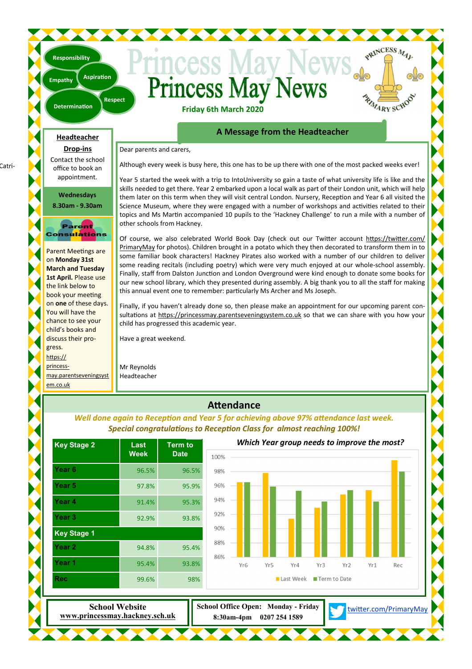## **Princess May News Friday 6th March 2020**

**Determination** 

**Aspiration** 

**Respect** 

#### **A Message from the Headteacher**

PRINCESS MAL

PAZARY SCHOO

Dear parents and carers,

Although every week is busy here, this one has to be up there with one of the most packed weeks ever!

Year 5 started the week with a trip to IntoUniversity so gain a taste of what university life is like and the skills needed to get there. Year 2 embarked upon a local walk as part of their London unit, which will help them later on this term when they will visit central London. Nursery, Reception and Year 6 all visited the Science Museum, where they were engaged with a number of workshops and activities related to their topics and Ms Martin accompanied 10 pupils to the 'Hackney Challenge' to run a mile with a number of other schools from Hackney.

Of course, we also celebrated World Book Day (check out our Twitter account https://twitter.com/ PrimaryMay for photos). Children brought in a potato which they then decorated to transform them in to some familiar book characters! Hackney Pirates also worked with a number of our children to deliver some reading recitals (including poetry) which were very much enjoyed at our whole-school assembly. Finally, staff from Dalston Junction and London Overground were kind enough to donate some books for our new school library, which they presented during assembly. A big thank you to all the staff for making this annual event one to remember: particularly Ms Archer and Ms Joseph.

Finally, if you haven't already done so, then please make an appointment for our upcoming parent consultations at https://princessmay.parentseveningsystem.co.uk so that we can share with you how your child has progressed this academic year.

Have a great weekend.

Mr Reynolds Headteacher

### **Attendance**

*Well done again to Reception and Year 5 for achieving above 97% attendance last week. Special congratulaons to Recepon Class for almost reaching 100%!* 

| Last        | <b>Term to</b> |      |                 |                 |           | Which Year group needs to improve the most? |                 |     |     |
|-------------|----------------|------|-----------------|-----------------|-----------|---------------------------------------------|-----------------|-----|-----|
| <b>Week</b> | <b>Date</b>    | 100% |                 |                 |           |                                             |                 |     |     |
| 96.5%       | 96.5%          | 98%  |                 |                 |           |                                             |                 |     |     |
| 97.8%       | 95.9%          | 96%  |                 |                 |           |                                             |                 |     |     |
| 91.4%       | 95.3%          | 94%  |                 |                 |           |                                             |                 |     |     |
| 92.9%       | 93.8%          | 92%  |                 |                 |           |                                             |                 |     |     |
|             |                | 90%  |                 |                 |           |                                             |                 |     |     |
| 94.8%       | 95.4%          | 88%  |                 |                 |           |                                             |                 |     |     |
| 95.4%       | 93.8%          | 86%  | Yr <sub>6</sub> | Yr <sub>5</sub> | Yr4       | Yr3                                         | Yr <sub>2</sub> | Yr1 | Rec |
| 99.6%       | 98%            |      |                 |                 | Last Week | Term to Date                                |                 |     |     |

**Wednesdays 8.30am - 9.30am** 

**Headteacher Drop-ins**  Contact the school office to book an appointment.

**Empathy** 

**Responsibility** 

#### Parent Consulations

Parent Meetings are on **Monday 31st March and Tuesday 1st April.** Please use the link below to book your meeting on **one** of these days. You will have the chance to see your child's books and discuss their progress. https:// princessmay.parentseveningsyst em.co.uk